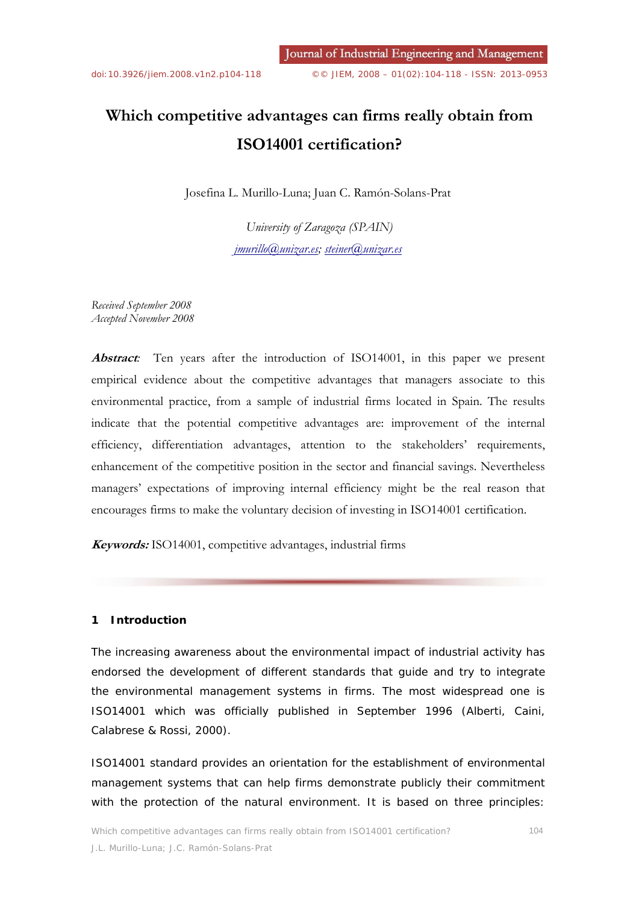# **Which competitive advantages can firms really obtain from ISO14001 certification?**

Josefina L. Murillo-Luna; Juan C. Ramón-Solans-Prat

*University of Zaragoza (SPAIN) jmurillo@unizar.es; steiner@unizar.es*

*Received September 2008 Accepted November 2008*

**Abstract***:* Ten years after the introduction of ISO14001, in this paper we present empirical evidence about the competitive advantages that managers associate to this environmental practice, from a sample of industrial firms located in Spain. The results indicate that the potential competitive advantages are: improvement of the internal efficiency, differentiation advantages, attention to the stakeholders' requirements, enhancement of the competitive position in the sector and financial savings. Nevertheless managers' expectations of improving internal efficiency might be the real reason that encourages firms to make the voluntary decision of investing in ISO14001 certification.

**Keywords:** ISO14001, competitive advantages, industrial firms

#### **1 Introduction**

The increasing awareness about the environmental impact of industrial activity has endorsed the development of different standards that guide and try to integrate the environmental management systems in firms. The most widespread one is ISO14001 which was officially published in September 1996 (Alberti, Caini, Calabrese & Rossi, 2000).

ISO14001 standard provides an orientation for the establishment of environmental management systems that can help firms demonstrate publicly their commitment with the protection of the natural environment. It is based on three principles: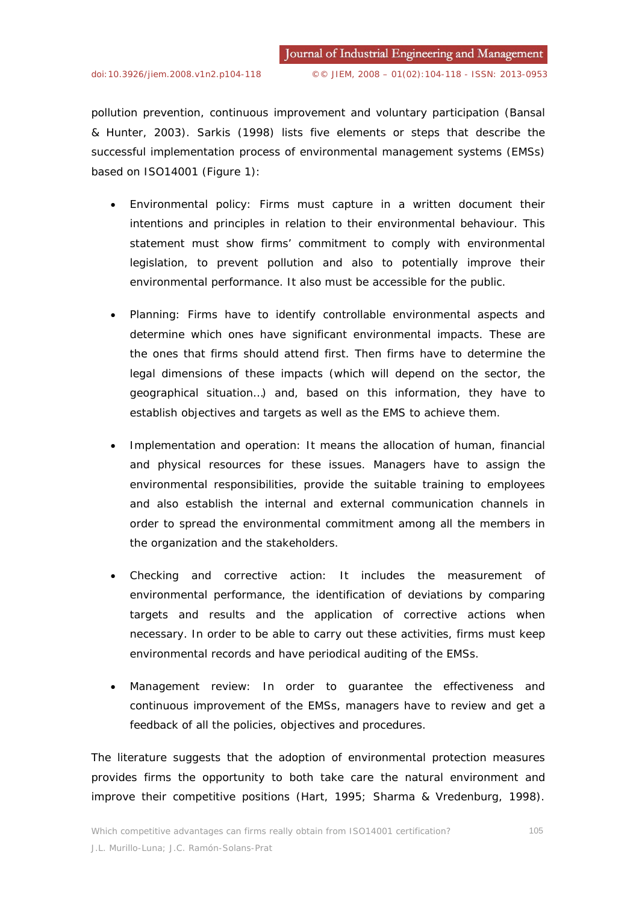pollution prevention, continuous improvement and voluntary participation (Bansal & Hunter, 2003). Sarkis (1998) lists five elements or steps that describe the successful implementation process of environmental management systems (EMSs) based on ISO14001 (Figure 1):

- *Environmental policy:* Firms must capture in a written document their intentions and principles in relation to their environmental behaviour. This statement must show firms' commitment to comply with environmental legislation, to prevent pollution and also to potentially improve their environmental performance. It also must be accessible for the public.
- *Planning:* Firms have to identify controllable environmental aspects and determine which ones have significant environmental impacts. These are the ones that firms should attend first. Then firms have to determine the legal dimensions of these impacts (which will depend on the sector, the geographical situation…) and, based on this information, they have to establish objectives and targets as well as the EMS to achieve them.
- *Implementation and operation:* It means the allocation of human, financial and physical resources for these issues. Managers have to assign the environmental responsibilities, provide the suitable training to employees and also establish the internal and external communication channels in order to spread the environmental commitment among all the members in the organization and the stakeholders.
- *Checking and corrective action:* It includes the measurement of environmental performance, the identification of deviations by comparing targets and results and the application of corrective actions when necessary. In order to be able to carry out these activities, firms must keep environmental records and have periodical auditing of the EMSs.
- *Management review:* In order to guarantee the effectiveness and continuous improvement of the EMSs, managers have to review and get a feedback of all the policies, objectives and procedures.

The literature suggests that the adoption of environmental protection measures provides firms the opportunity to both take care the natural environment and improve their competitive positions (Hart, 1995; Sharma & Vredenburg, 1998).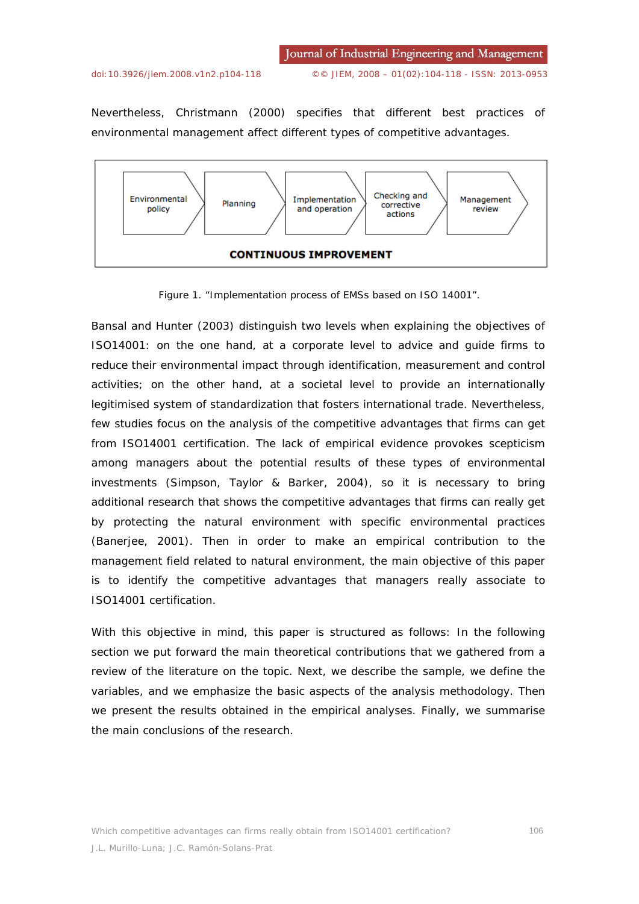Nevertheless, Christmann (2000) specifies that different best practices of environmental management affect different types of competitive advantages.



Figure 1. "Implementation process of EMSs based on ISO 14001".

Bansal and Hunter (2003) distinguish two levels when explaining the objectives of ISO14001: on the one hand, at a corporate level to advice and guide firms to reduce their environmental impact through identification, measurement and control activities; on the other hand, at a societal level to provide an internationally legitimised system of standardization that fosters international trade. Nevertheless, few studies focus on the analysis of the competitive advantages that firms can get from ISO14001 certification. The lack of empirical evidence provokes scepticism among managers about the potential results of these types of environmental investments (Simpson, Taylor & Barker, 2004), so it is necessary to bring additional research that shows the competitive advantages that firms can really get by protecting the natural environment with specific environmental practices (Banerjee, 2001). Then in order to make an empirical contribution to the management field related to natural environment, the main objective of this paper is to identify the competitive advantages that managers really associate to ISO14001 certification.

With this objective in mind, this paper is structured as follows: In the following section we put forward the main theoretical contributions that we gathered from a review of the literature on the topic. Next, we describe the sample, we define the variables, and we emphasize the basic aspects of the analysis methodology. Then we present the results obtained in the empirical analyses. Finally, we summarise the main conclusions of the research.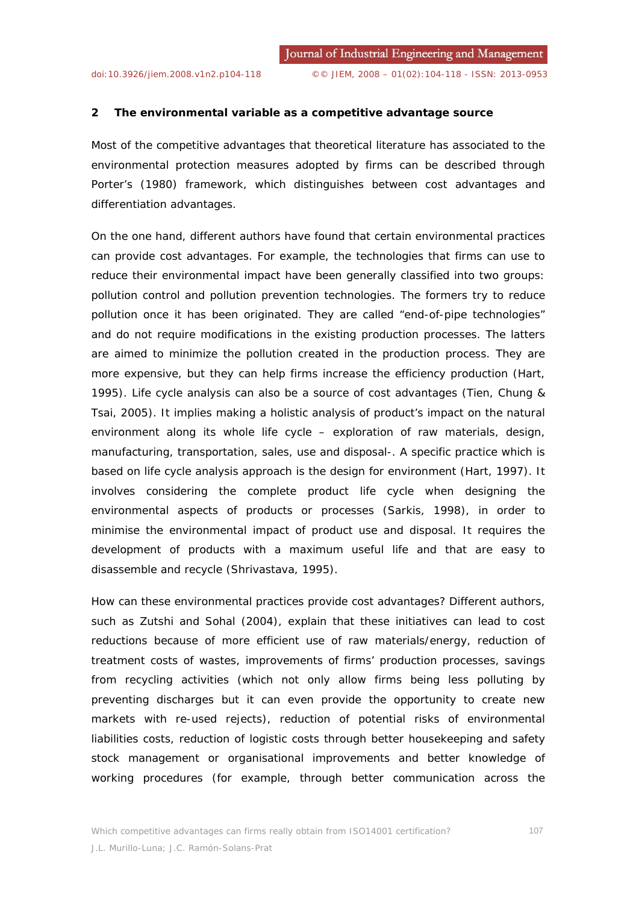### **2 The environmental variable as a competitive advantage source**

Most of the competitive advantages that theoretical literature has associated to the environmental protection measures adopted by firms can be described through Porter's (1980) framework, which distinguishes between cost advantages and differentiation advantages.

On the one hand, different authors have found that certain environmental practices can provide cost advantages. For example, the technologies that firms can use to reduce their environmental impact have been generally classified into two groups: pollution control and pollution prevention technologies. The formers try to reduce pollution once it has been originated. They are called "end-of-pipe technologies" and do not require modifications in the existing production processes. The latters are aimed to minimize the pollution created in the production process. They are more expensive, but they can help firms increase the efficiency production (Hart, 1995). Life cycle analysis can also be a source of cost advantages (Tien, Chung & Tsai, 2005). It implies making a holistic analysis of product's impact on the natural environment along its whole life cycle – exploration of raw materials, design, manufacturing, transportation, sales, use and disposal-. A specific practice which is based on life cycle analysis approach is the design for environment (Hart, 1997). It involves considering the complete product life cycle when designing the environmental aspects of products or processes (Sarkis, 1998), in order to minimise the environmental impact of product use and disposal. It requires the development of products with a maximum useful life and that are easy to disassemble and recycle (Shrivastava, 1995).

How can these environmental practices provide cost advantages? Different authors, such as Zutshi and Sohal (2004), explain that these initiatives can lead to cost reductions because of more efficient use of raw materials/energy, reduction of treatment costs of wastes, improvements of firms' production processes, savings from recycling activities (which not only allow firms being less polluting by preventing discharges but it can even provide the opportunity to create new markets with re-used rejects), reduction of potential risks of environmental liabilities costs, reduction of logistic costs through better housekeeping and safety stock management or organisational improvements and better knowledge of working procedures (for example, through better communication across the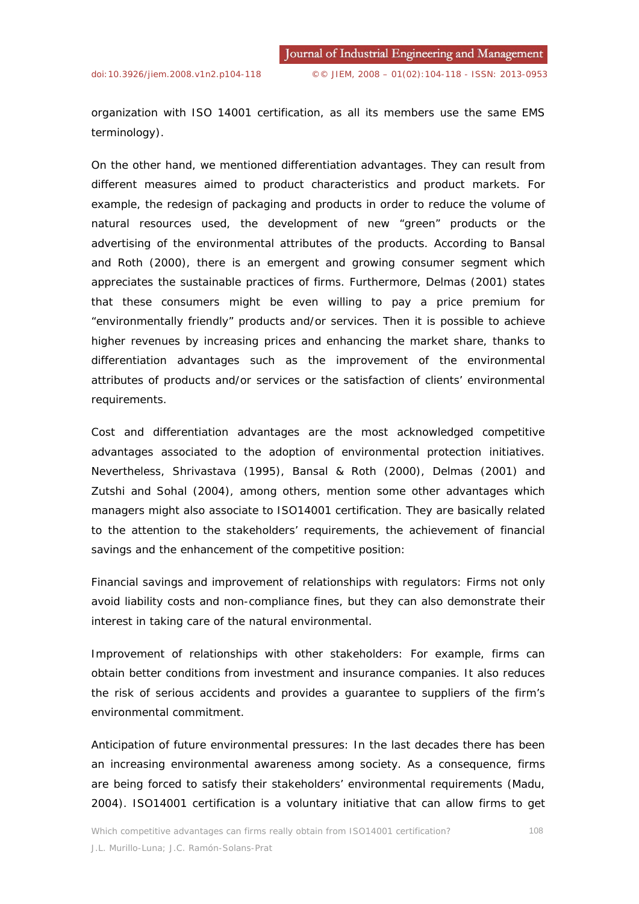organization with ISO 14001 certification, as all its members use the same EMS terminology).

On the other hand, we mentioned differentiation advantages. They can result from different measures aimed to product characteristics and product markets. For example, the redesign of packaging and products in order to reduce the volume of natural resources used, the development of new "green" products or the advertising of the environmental attributes of the products. According to Bansal and Roth (2000), there is an emergent and growing consumer segment which appreciates the sustainable practices of firms. Furthermore, Delmas (2001) states that these consumers might be even willing to pay a price premium for "environmentally friendly" products and/or services. Then it is possible to achieve higher revenues by increasing prices and enhancing the market share, thanks to differentiation advantages such as the improvement of the environmental attributes of products and/or services or the satisfaction of clients' environmental requirements.

Cost and differentiation advantages are the most acknowledged competitive advantages associated to the adoption of environmental protection initiatives. Nevertheless, Shrivastava (1995), Bansal & Roth (2000), Delmas (2001) and Zutshi and Sohal (2004), among others, mention some other advantages which managers might also associate to ISO14001 certification. They are basically related to the attention to the stakeholders' requirements, the achievement of financial savings and the enhancement of the competitive position:

Financial savings and improvement of relationships with regulators: Firms not only avoid liability costs and non-compliance fines, but they can also demonstrate their interest in taking care of the natural environmental.

Improvement of relationships with other stakeholders: For example, firms can obtain better conditions from investment and insurance companies. It also reduces the risk of serious accidents and provides a guarantee to suppliers of the firm's environmental commitment.

Anticipation of future environmental pressures: In the last decades there has been an increasing environmental awareness among society. As a consequence, firms are being forced to satisfy their stakeholders' environmental requirements (Madu, 2004). ISO14001 certification is a voluntary initiative that can allow firms to get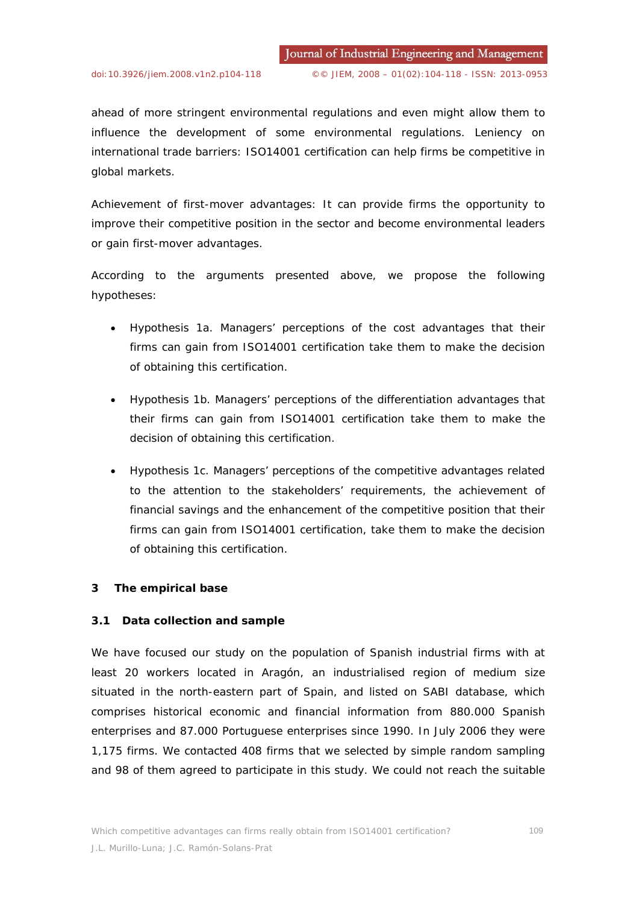ahead of more stringent environmental regulations and even might allow them to influence the development of some environmental regulations. Leniency on international trade barriers: ISO14001 certification can help firms be competitive in global markets.

Achievement of first-mover advantages: It can provide firms the opportunity to improve their competitive position in the sector and become environmental leaders or gain first-mover advantages.

According to the arguments presented above, we propose the following hypotheses:

- *Hypothesis 1a.* Managers' perceptions of the cost advantages that their firms can gain from ISO14001 certification take them to make the decision of obtaining this certification.
- *Hypothesis 1b.* Managers' perceptions of the differentiation advantages that their firms can gain from ISO14001 certification take them to make the decision of obtaining this certification.
- *Hypothesis 1c.* Managers' perceptions of the competitive advantages related to the attention to the stakeholders' requirements, the achievement of financial savings and the enhancement of the competitive position that their firms can gain from ISO14001 certification, take them to make the decision of obtaining this certification.

### **3 The empirical base**

### **3.1 Data collection and sample**

We have focused our study on the population of Spanish industrial firms with at least 20 workers located in Aragón, an industrialised region of medium size situated in the north-eastern part of Spain, and listed on SABI database, which comprises historical economic and financial information from 880.000 Spanish enterprises and 87.000 Portuguese enterprises since 1990. In July 2006 they were 1,175 firms. We contacted 408 firms that we selected by simple random sampling and 98 of them agreed to participate in this study. We could not reach the suitable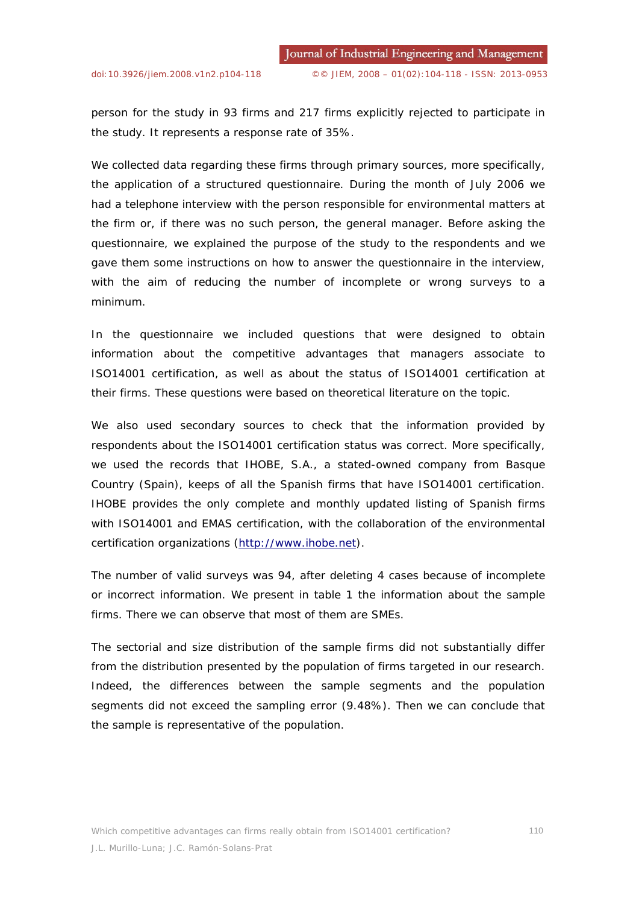person for the study in 93 firms and 217 firms explicitly rejected to participate in the study. It represents a response rate of 35%.

We collected data regarding these firms through primary sources, more specifically, the application of a structured questionnaire. During the month of July 2006 we had a telephone interview with the person responsible for environmental matters at the firm or, if there was no such person, the general manager. Before asking the questionnaire, we explained the purpose of the study to the respondents and we gave them some instructions on how to answer the questionnaire in the interview, with the aim of reducing the number of incomplete or wrong surveys to a minimum.

In the questionnaire we included questions that were designed to obtain information about the competitive advantages that managers associate to ISO14001 certification, as well as about the status of ISO14001 certification at their firms. These questions were based on theoretical literature on the topic.

We also used secondary sources to check that the information provided by respondents about the ISO14001 certification status was correct. More specifically, we used the records that IHOBE, S.A., a stated-owned company from Basque Country (Spain), keeps of all the Spanish firms that have ISO14001 certification. IHOBE provides the only complete and monthly updated listing of Spanish firms with ISO14001 and EMAS certification, with the collaboration of the environmental certification organizations (http://www.ihobe.net).

The number of valid surveys was 94, after deleting 4 cases because of incomplete or incorrect information. We present in table 1 the information about the sample firms. There we can observe that most of them are SMEs.

The sectorial and size distribution of the sample firms did not substantially differ from the distribution presented by the population of firms targeted in our research. Indeed, the differences between the sample segments and the population segments did not exceed the sampling error (9.48%). Then we can conclude that the sample is representative of the population.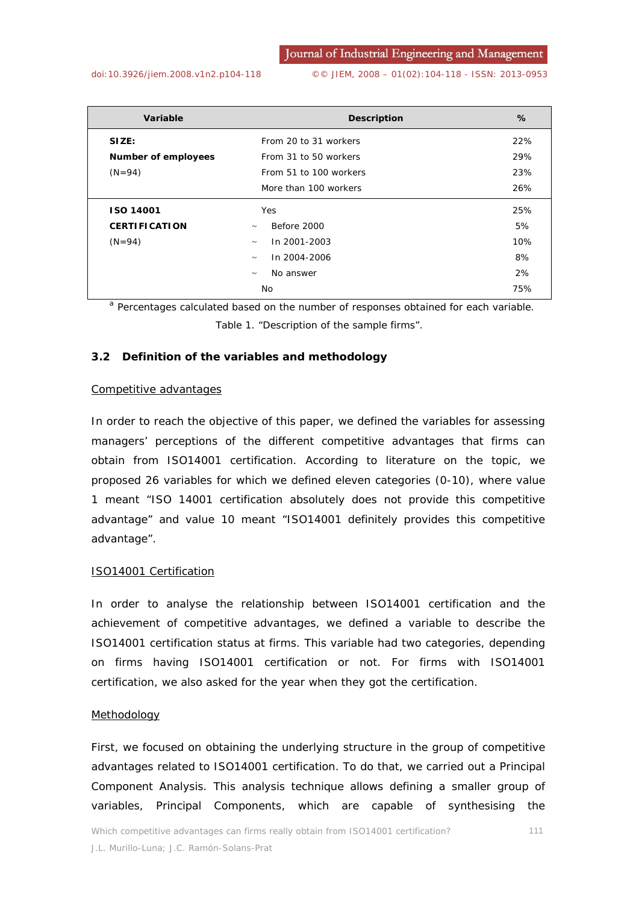| Variable                   | <b>Description</b>           | %   |
|----------------------------|------------------------------|-----|
| SIZE:                      | From 20 to 31 workers        | 22% |
| <b>Number of employees</b> | From 31 to 50 workers        | 29% |
| $(N=94)$                   | From 51 to 100 workers       | 23% |
|                            | More than 100 workers        | 26% |
| ISO 14001                  | Yes                          | 25% |
| <b>CERTIFICATION</b>       | <b>Before 2000</b><br>$\sim$ | 5%  |
| $(N=94)$                   | In 2001-2003<br>$\sim$       | 10% |
|                            | In 2004-2006<br>$\sim$       | 8%  |
|                            | No answer                    | 2%  |
|                            | No                           | 75% |

a Percentages calculated based on the number of responses obtained for each variable. Table 1. "Description of the sample firms".

# **3.2 Definition of the variables and methodology**

#### *Competitive advantages*

In order to reach the objective of this paper, we defined the variables for assessing managers' perceptions of the different competitive advantages that firms can obtain from ISO14001 certification. According to literature on the topic, we proposed 26 variables for which we defined eleven categories (0-10), where value 1 meant "ISO 14001 certification absolutely does not provide this competitive advantage" and value 10 meant "ISO14001 definitely provides this competitive advantage".

### *ISO14001 Certification*

In order to analyse the relationship between ISO14001 certification and the achievement of competitive advantages, we defined a variable to describe the ISO14001 certification status at firms. This variable had two categories, depending on firms having ISO14001 certification or not. For firms with ISO14001 certification, we also asked for the year when they got the certification.

### *Methodology*

First, we focused on obtaining the underlying structure in the group of competitive advantages related to ISO14001 certification. To do that, we carried out a Principal Component Analysis. This analysis technique allows defining a smaller group of variables, Principal Components, which are capable of synthesising the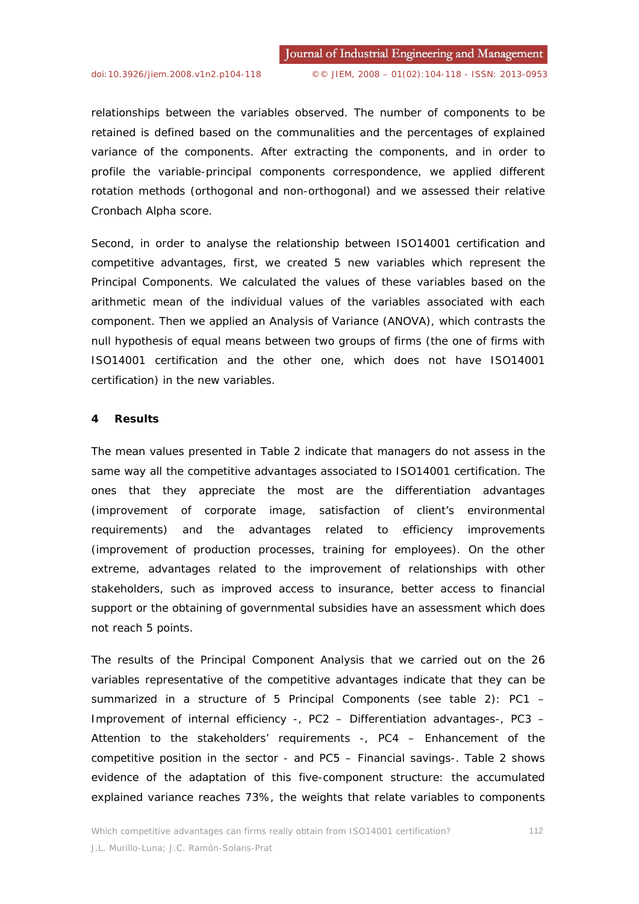relationships between the variables observed. The number of components to be retained is defined based on the communalities and the percentages of explained variance of the components. After extracting the components, and in order to profile the variable-principal components correspondence, we applied different rotation methods (orthogonal and non-orthogonal) and we assessed their relative Cronbach Alpha score.

Second, in order to analyse the relationship between ISO14001 certification and competitive advantages, first, we created 5 new variables which represent the Principal Components. We calculated the values of these variables based on the arithmetic mean of the individual values of the variables associated with each component. Then we applied an Analysis of Variance (ANOVA), which contrasts the null hypothesis of equal means between two groups of firms (the one of firms with ISO14001 certification and the other one, which does not have ISO14001 certification) in the new variables.

#### **4 Results**

The mean values presented in Table 2 indicate that managers do not assess in the same way all the competitive advantages associated to ISO14001 certification. The ones that they appreciate the most are the differentiation advantages (improvement of corporate image, satisfaction of client's environmental requirements) and the advantages related to efficiency improvements (improvement of production processes, training for employees). On the other extreme, advantages related to the improvement of relationships with other stakeholders, such as improved access to insurance, better access to financial support or the obtaining of governmental subsidies have an assessment which does not reach 5 points.

The results of the Principal Component Analysis that we carried out on the 26 variables representative of the competitive advantages indicate that they can be summarized in a structure of 5 Principal Components (see table 2): PC1 – Improvement of internal efficiency -, PC2 – Differentiation advantages-, PC3 – Attention to the stakeholders' requirements -, PC4 – Enhancement of the competitive position in the sector - and PC5 – Financial savings-. Table 2 shows evidence of the adaptation of this five-component structure: the accumulated explained variance reaches 73%, the weights that relate variables to components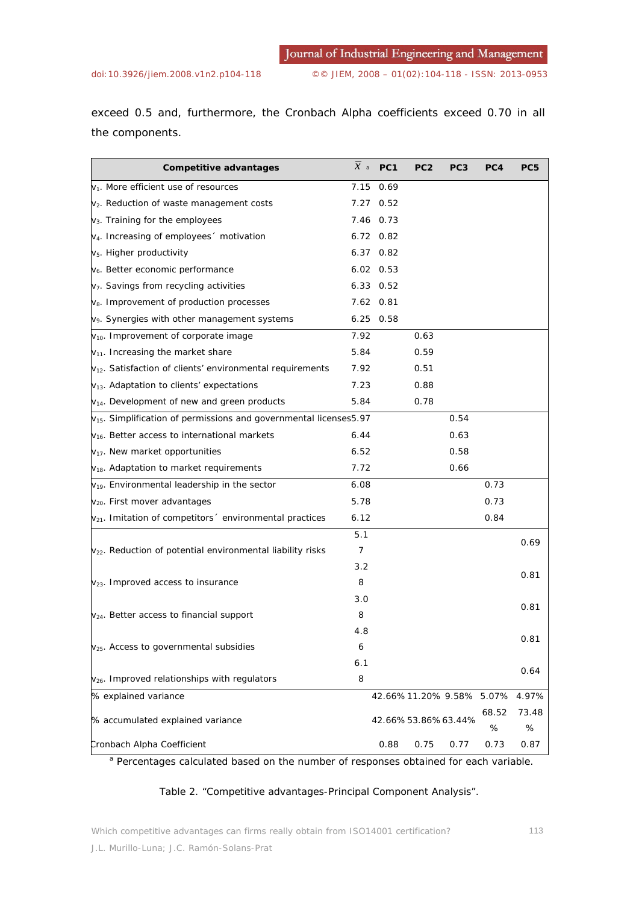exceed 0.5 and, furthermore, the Cronbach Alpha coefficients exceed 0.70 in all the components.

| Competitive advantages                                                  |      | $\overline{x}$ a PC1 | PC <sub>2</sub>    | PC3                      | PC4       | PC <sub>5</sub> |
|-------------------------------------------------------------------------|------|----------------------|--------------------|--------------------------|-----------|-----------------|
| $v_1$ . More efficient use of resources                                 | 7.15 | 0.69                 |                    |                          |           |                 |
| $v_2$ . Reduction of waste management costs                             | 7.27 | 0.52                 |                    |                          |           |                 |
| $v_3$ . Training for the employees                                      |      | 7.46 0.73            |                    |                          |           |                 |
| $v_4$ . Increasing of employees motivation                              |      | 6.72 0.82            |                    |                          |           |                 |
| $v5$ . Higher productivity                                              |      | 6.37 0.82            |                    |                          |           |                 |
| V <sub>6</sub> . Better economic performance                            |      | $6.02 \quad 0.53$    |                    |                          |           |                 |
| $v7$ . Savings from recycling activities                                |      | 6.33 0.52            |                    |                          |           |                 |
| $v8$ . Improvement of production processes                              |      | 7.62 0.81            |                    |                          |           |                 |
| V <sub>9</sub> . Synergies with other management systems                |      | $6.25$ 0.58          |                    |                          |           |                 |
| $V_{10}$ . Improvement of corporate image                               | 7.92 |                      | 0.63               |                          |           |                 |
| $V_{11}$ . Increasing the market share                                  | 5.84 |                      | 0.59               |                          |           |                 |
| $v_{12}$ . Satisfaction of clients' environmental requirements          | 7.92 |                      | 0.51               |                          |           |                 |
| $V_{13}$ . Adaptation to clients' expectations                          | 7.23 |                      | 0.88               |                          |           |                 |
| $v_{14}$ . Development of new and green products                        | 5.84 |                      | 0.78               |                          |           |                 |
| $v_{15}$ . Simplification of permissions and governmental licenses 5.97 |      |                      |                    | 0.54                     |           |                 |
| $V_{16}$ . Better access to international markets                       | 6.44 |                      |                    | 0.63                     |           |                 |
| $V_{17}$ . New market opportunities                                     | 6.52 |                      |                    | 0.58                     |           |                 |
| $v_{18}$ . Adaptation to market requirements                            | 7.72 |                      |                    | 0.66                     |           |                 |
| $V_{19}$ . Environmental leadership in the sector                       | 6.08 |                      |                    |                          | 0.73      |                 |
| $V_{20}$ . First mover advantages                                       | 5.78 |                      |                    |                          | 0.73      |                 |
| $V_{21}$ . Imitation of competitors $\epsilon$ environmental practices  | 6.12 |                      |                    |                          | 0.84      |                 |
|                                                                         | 5.1  |                      |                    |                          |           | 0.69            |
| V <sub>22</sub> . Reduction of potential environmental liability risks  | 7    |                      |                    |                          |           |                 |
|                                                                         | 3.2  |                      |                    |                          |           | 0.81            |
| $V_{23}$ . Improved access to insurance                                 | 8    |                      |                    |                          |           |                 |
|                                                                         | 3.0  |                      |                    |                          |           | 0.81            |
| V <sub>24</sub> . Better access to financial support                    | 8    |                      |                    |                          |           |                 |
|                                                                         | 4.8  |                      |                    |                          |           | 0.81            |
| V <sub>25</sub> . Access to governmental subsidies                      | 6    |                      |                    |                          |           |                 |
|                                                                         | 6.1  |                      |                    |                          |           | 0.64            |
| $v_{26}$ . Improved relationships with regulators                       | 8    |                      |                    |                          |           |                 |
| % explained variance                                                    |      |                      |                    | 42.66%11.20% 9.58% 5.07% |           | 4.97%           |
| % accumulated explained variance                                        |      |                      | 42.66%53.86%63.44% |                          | 68.52     | 73.48           |
| Cronbach Alpha Coefficient                                              |      | 0.88                 | 0.75               | 0.77                     | %<br>0.73 | $\%$<br>0.87    |
|                                                                         |      |                      |                    |                          |           |                 |

<sup>a</sup> Percentages calculated based on the number of responses obtained for each variable.

# Table 2. "Competitive advantages-Principal Component Analysis".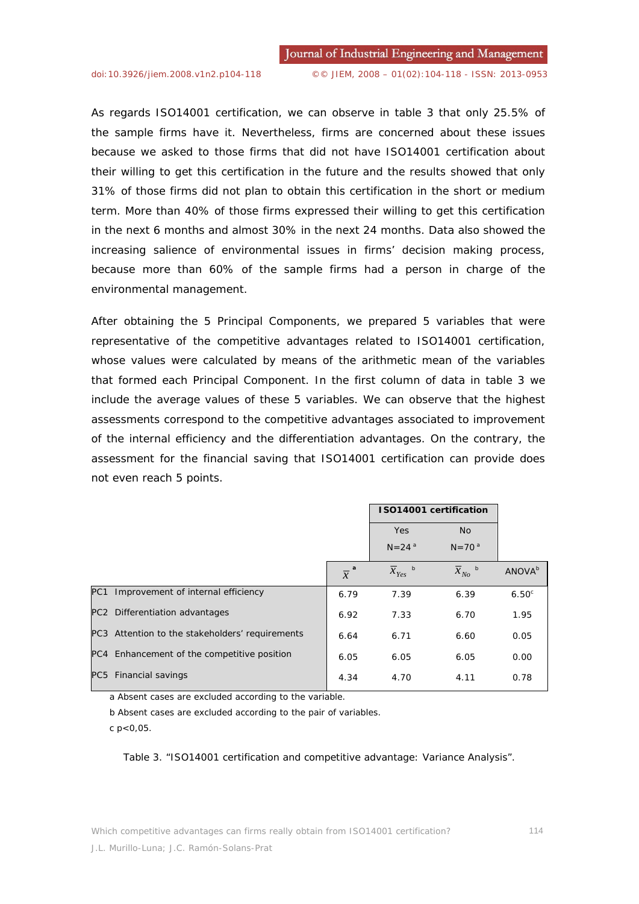As regards ISO14001 certification, we can observe in table 3 that only 25.5% of the sample firms have it. Nevertheless, firms are concerned about these issues because we asked to those firms that did not have ISO14001 certification about their willing to get this certification in the future and the results showed that only 31% of those firms did not plan to obtain this certification in the short or medium term. More than 40% of those firms expressed their willing to get this certification in the next 6 months and almost 30% in the next 24 months. Data also showed the increasing salience of environmental issues in firms' decision making process, because more than 60% of the sample firms had a person in charge of the environmental management.

After obtaining the 5 Principal Components, we prepared 5 variables that were representative of the competitive advantages related to ISO14001 certification, whose values were calculated by means of the arithmetic mean of the variables that formed each Principal Component. In the first column of data in table 3 we include the average values of these 5 variables. We can observe that the highest assessments correspond to the competitive advantages associated to improvement of the internal efficiency and the differentiation advantages. On the contrary, the assessment for the financial saving that ISO14001 certification can provide does not even reach 5 points.

|                 |                                                 |                             | ISO14001 certification           |                        |                           |
|-----------------|-------------------------------------------------|-----------------------------|----------------------------------|------------------------|---------------------------|
|                 |                                                 |                             | Yes                              | <b>No</b>              |                           |
|                 |                                                 |                             | $N = 24^{a}$                     | $N = 70a$              |                           |
|                 |                                                 | $\overline{x}^{\mathsf{a}}$ | b<br>$\overline{x}_{\text{Yes}}$ | $\overline{x}_{N_o}$ b | <b>ANOVA</b> <sup>b</sup> |
| PC <sub>1</sub> | Improvement of internal efficiency              | 6.79                        | 7.39                             | 6.39                   | 6.50 <sup>c</sup>         |
|                 | PC2 Differentiation advantages                  | 6.92                        | 7.33                             | 6.70                   | 1.95                      |
|                 | PC3 Attention to the stakeholders' requirements | 6.64                        | 6.71                             | 6.60                   | 0.05                      |
|                 | PC4 Enhancement of the competitive position     | 6.05                        | 6.05                             | 6.05                   | 0.00                      |
| PC <sub>5</sub> | Financial savings                               | 4.34                        | 4.70                             | 4.11                   | 0.78                      |

a Absent cases are excluded according to the variable.

b Absent cases are excluded according to the pair of variables.

 $c$  p $<$ 0,05.

Table 3. "ISO14001 certification and competitive advantage: Variance Analysis".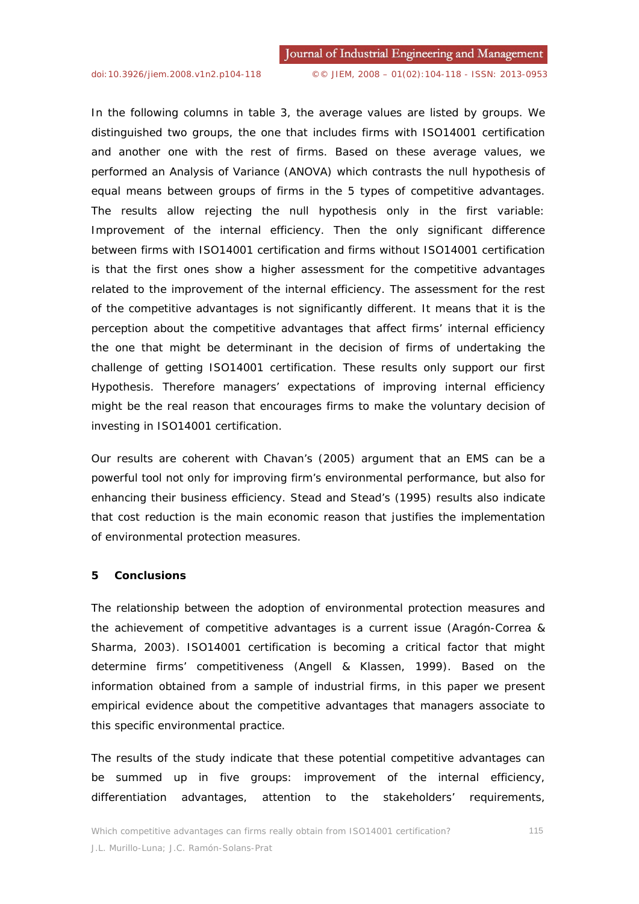In the following columns in table 3, the average values are listed by groups. We distinguished two groups, the one that includes firms with ISO14001 certification and another one with the rest of firms. Based on these average values, we performed an Analysis of Variance (ANOVA) which contrasts the null hypothesis of equal means between groups of firms in the 5 types of competitive advantages. The results allow rejecting the null hypothesis only in the first variable: Improvement of the internal efficiency. Then the only significant difference between firms with ISO14001 certification and firms without ISO14001 certification is that the first ones show a higher assessment for the competitive advantages related to the improvement of the internal efficiency. The assessment for the rest of the competitive advantages is not significantly different. It means that it is the perception about the competitive advantages that affect firms' internal efficiency the one that might be determinant in the decision of firms of undertaking the challenge of getting ISO14001 certification. These results only support our first Hypothesis. Therefore managers' expectations of improving internal efficiency might be the real reason that encourages firms to make the voluntary decision of investing in ISO14001 certification.

Our results are coherent with Chavan's (2005) argument that an EMS can be a powerful tool not only for improving firm's environmental performance, but also for enhancing their business efficiency. Stead and Stead's (1995) results also indicate that cost reduction is the main economic reason that justifies the implementation of environmental protection measures.

#### **5 Conclusions**

The relationship between the adoption of environmental protection measures and the achievement of competitive advantages is a current issue (Aragón-Correa & Sharma, 2003). ISO14001 certification is becoming a critical factor that might determine firms' competitiveness (Angell & Klassen, 1999). Based on the information obtained from a sample of industrial firms, in this paper we present empirical evidence about the competitive advantages that managers associate to this specific environmental practice.

The results of the study indicate that these potential competitive advantages can be summed up in five groups: improvement of the internal efficiency, differentiation advantages, attention to the stakeholders' requirements,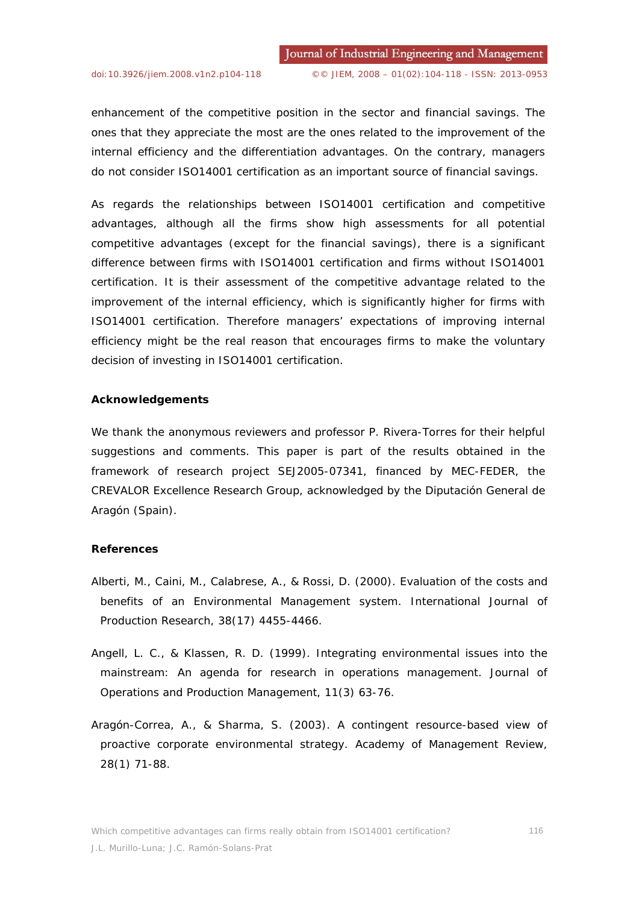enhancement of the competitive position in the sector and financial savings. The ones that they appreciate the most are the ones related to the improvement of the internal efficiency and the differentiation advantages. On the contrary, managers do not consider ISO14001 certification as an important source of financial savings.

As regards the relationships between ISO14001 certification and competitive advantages, although all the firms show high assessments for all potential competitive advantages (except for the financial savings), there is a significant difference between firms with ISO14001 certification and firms without ISO14001 certification. It is their assessment of the competitive advantage related to the improvement of the internal efficiency, which is significantly higher for firms with ISO14001 certification. Therefore managers' expectations of improving internal efficiency might be the real reason that encourages firms to make the voluntary decision of investing in ISO14001 certification.

### **Acknowledgements**

We thank the anonymous reviewers and professor P. Rivera-Torres for their helpful suggestions and comments. This paper is part of the results obtained in the framework of research project SEJ2005-07341, financed by MEC-FEDER, the CREVALOR Excellence Research Group, acknowledged by the Diputación General de Aragón (Spain).

### **References**

- Alberti, M., Caini, M., Calabrese, A., & Rossi, D. (2000). Evaluation of the costs and benefits of an Environmental Management system. *International Journal of Production Research*, 38(17) 4455-4466.
- Angell, L. C., & Klassen, R. D. (1999). Integrating environmental issues into the mainstream: An agenda for research in operations management. *Journal of Operations and Production Management*, 11(3) 63-76.
- Aragón-Correa, A., & Sharma, S. (2003). A contingent resource-based view of proactive corporate environmental strategy. *Academy of Management Review*, 28(1) 71-88.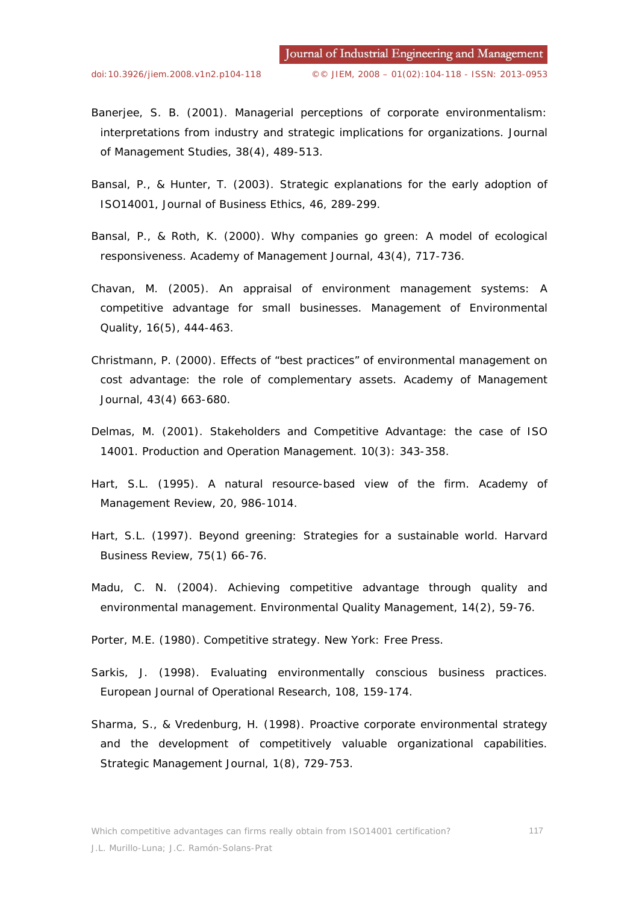- Banerjee, S. B. (2001). Managerial perceptions of corporate environmentalism: interpretations from industry and strategic implications for organizations. *Journal of Management Studies*, 38(4), 489-513.
- Bansal, P., & Hunter, T. (2003). Strategic explanations for the early adoption of ISO14001, *Journal of Business Ethics*, 46, 289-299.
- Bansal, P., & Roth, K. (2000). Why companies go green: A model of ecological responsiveness. *Academy of Management Journal*, 43(4), 717-736.
- Chavan, M. (2005). An appraisal of environment management systems: A competitive advantage for small businesses. *Management of Environmental Quality*, 16(5), 444-463.
- Christmann, P. (2000). Effects of "best practices" of environmental management on cost advantage: the role of complementary assets. *Academy of Management Journal*, 43(4) 663-680.
- Delmas, M. (2001). Stakeholders and Competitive Advantage: the case of ISO 14001. *Production and Operation Management*. 10(3): 343-358.
- Hart, S.L. (1995). A natural resource-based view of the firm. *Academy of Management Review*, 20, 986-1014.
- Hart, S.L. (1997). Beyond greening: Strategies for a sustainable world. *Harvard Business Review*, 75(1) 66-76.
- Madu, C. N. (2004). Achieving competitive advantage through quality and environmental management. *Environmental Quality Management*, 14(2), 59-76.
- Porter, M.E. (1980). *Competitive strategy*. New York: Free Press.
- Sarkis, J. (1998). Evaluating environmentally conscious business practices. *European Journal of Operational Research*, 108, 159-174.
- Sharma, S., & Vredenburg, H. (1998). Proactive corporate environmental strategy and the development of competitively valuable organizational capabilities. *Strategic Management Journal*, 1(8), 729-753.